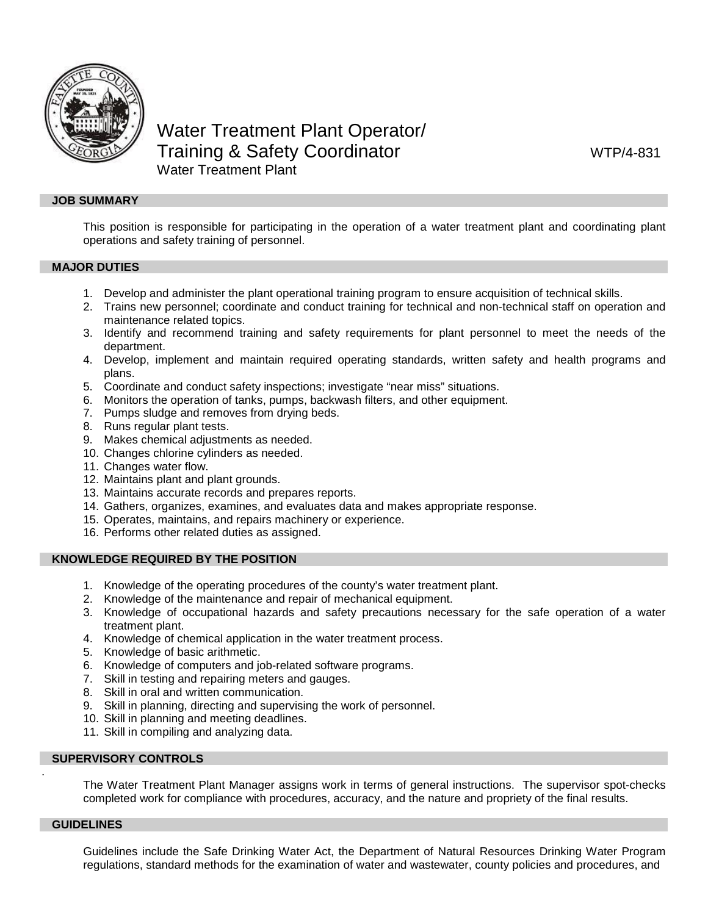

# Water Treatment Plant Operator/ Training & Safety Coordinator MTP/4-831 Water Treatment Plant

#### **JOB SUMMARY**

This position is responsible for participating in the operation of a water treatment plant and coordinating plant operations and safety training of personnel.

## **MAJOR DUTIES**

- 1. Develop and administer the plant operational training program to ensure acquisition of technical skills.
- 2. Trains new personnel; coordinate and conduct training for technical and non-technical staff on operation and maintenance related topics.
- 3. Identify and recommend training and safety requirements for plant personnel to meet the needs of the department.
- 4. Develop, implement and maintain required operating standards, written safety and health programs and plans.
- 5. Coordinate and conduct safety inspections; investigate "near miss" situations.
- 6. Monitors the operation of tanks, pumps, backwash filters, and other equipment.
- 7. Pumps sludge and removes from drying beds.
- 8. Runs regular plant tests.
- 9. Makes chemical adjustments as needed.
- 10. Changes chlorine cylinders as needed.
- 11. Changes water flow.
- 12. Maintains plant and plant grounds.
- 13. Maintains accurate records and prepares reports.
- 14. Gathers, organizes, examines, and evaluates data and makes appropriate response.
- 15. Operates, maintains, and repairs machinery or experience.
- 16. Performs other related duties as assigned.

## **KNOWLEDGE REQUIRED BY THE POSITION**

- 1. Knowledge of the operating procedures of the county's water treatment plant.
- 2. Knowledge of the maintenance and repair of mechanical equipment.
- 3. Knowledge of occupational hazards and safety precautions necessary for the safe operation of a water treatment plant.
- 4. Knowledge of chemical application in the water treatment process.
- 5. Knowledge of basic arithmetic.
- 6. Knowledge of computers and job-related software programs.
- 7. Skill in testing and repairing meters and gauges.
- 8. Skill in oral and written communication.
- 9. Skill in planning, directing and supervising the work of personnel.
- 10. Skill in planning and meeting deadlines.
- 11. Skill in compiling and analyzing data.

# **SUPERVISORY CONTROLS**

The Water Treatment Plant Manager assigns work in terms of general instructions. The supervisor spot-checks completed work for compliance with procedures, accuracy, and the nature and propriety of the final results.

#### **GUIDELINES**

.

Guidelines include the Safe Drinking Water Act, the Department of Natural Resources Drinking Water Program regulations, standard methods for the examination of water and wastewater, county policies and procedures, and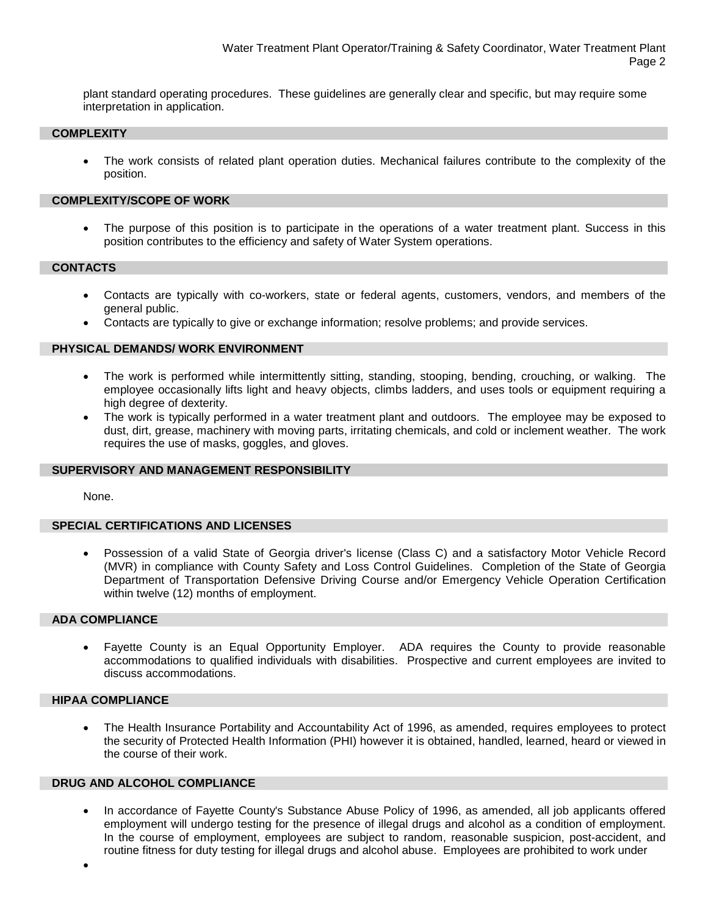plant standard operating procedures. These guidelines are generally clear and specific, but may require some interpretation in application.

# **COMPLEXITY**

• The work consists of related plant operation duties. Mechanical failures contribute to the complexity of the position.

## **COMPLEXITY/SCOPE OF WORK**

The purpose of this position is to participate in the operations of a water treatment plant. Success in this position contributes to the efficiency and safety of Water System operations.

#### **CONTACTS**

- Contacts are typically with co-workers, state or federal agents, customers, vendors, and members of the general public.
- Contacts are typically to give or exchange information; resolve problems; and provide services.

# **PHYSICAL DEMANDS/ WORK ENVIRONMENT**

- The work is performed while intermittently sitting, standing, stooping, bending, crouching, or walking. The employee occasionally lifts light and heavy objects, climbs ladders, and uses tools or equipment requiring a high degree of dexterity.
- The work is typically performed in a water treatment plant and outdoors. The employee may be exposed to dust, dirt, grease, machinery with moving parts, irritating chemicals, and cold or inclement weather. The work requires the use of masks, goggles, and gloves.

# **SUPERVISORY AND MANAGEMENT RESPONSIBILITY**

None.

# **SPECIAL CERTIFICATIONS AND LICENSES**

• Possession of a valid State of Georgia driver's license (Class C) and a satisfactory Motor Vehicle Record (MVR) in compliance with County Safety and Loss Control Guidelines. Completion of the State of Georgia Department of Transportation Defensive Driving Course and/or Emergency Vehicle Operation Certification within twelve (12) months of employment.

#### **ADA COMPLIANCE**

• Fayette County is an Equal Opportunity Employer. ADA requires the County to provide reasonable accommodations to qualified individuals with disabilities. Prospective and current employees are invited to discuss accommodations.

# **HIPAA COMPLIANCE**

• The Health Insurance Portability and Accountability Act of 1996, as amended, requires employees to protect the security of Protected Health Information (PHI) however it is obtained, handled, learned, heard or viewed in the course of their work.

# **DRUG AND ALCOHOL COMPLIANCE**

• In accordance of Fayette County's Substance Abuse Policy of 1996, as amended, all job applicants offered employment will undergo testing for the presence of illegal drugs and alcohol as a condition of employment. In the course of employment, employees are subject to random, reasonable suspicion, post-accident, and routine fitness for duty testing for illegal drugs and alcohol abuse. Employees are prohibited to work under